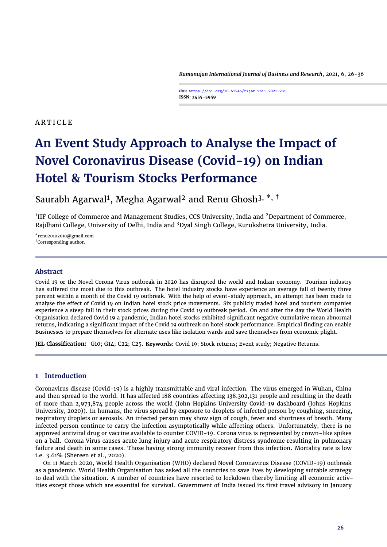*Ramanujan International Journal of Business and Research*, 2021, 6, 26[-36](#page-10-0)

**doi: https://doi.org/10.51245/rijbr.v6i1.2021.231 ISSN: 2455-5959**

# **ARTICLE**

# **An Event Study Approach to Analyse the Impact of Novel Coronavirus Disease (Covid-19) on Indian Hotel & Tourism Stocks Performance**

Saurabh Agarwal<sup>1</sup>, Megha Agarwal<sup>2</sup> and Renu Ghosh<sup>3, \*, †</sup>

 $^1$ IIF College of Commerce and Management Studies, CCS University, India and <sup>2</sup>Department of Commerce, Rajdhani College, University of Delhi, India and <sup>3</sup>Dyal Singh College, Kurukshetra University, India.

\*renu20102010@gmail.com †Corresponding author.

# **Abstract**

Covid 19 or the Novel Corona Virus outbreak in 2020 has disrupted the world and Indian economy. Tourism industry has suffered the most due to this outbreak. The hotel industry stocks have experience an average fall of twenty three percent within a month of the Covid 19 outbreak. With the help of event-study approach, an attempt has been made to analyse the effect of Covid 19 on Indian hotel stock price movements. Six publicly traded hotel and tourism companies experience a steep fall in their stock prices during the Covid 19 outbreak period. On and after the day the World Health Organisation declared Covid 19 a pandemic, Indian hotel stocks exhibited significant negative cumulative mean abnormal returns, indicating a significant impact of the Covid 19 outbreak on hotel stock performance. Empirical finding can enable Businesses to prepare themselves for alternate uses like isolation wards and save themselves from economic plight.

**JEL Classification:** G10; G14; C22; C25. **Keywords**: Covid 19; Stock returns; Event study; Negative Returns.

# **1 Introduction**

Coronavirus disease (Covid-19) is a highly transmittable and viral infection. The virus emerged in Wuhan, China and then spread to the world. It has affected 188 countries affecting 138,302,131 people and resulting in the death of more than 2,973,874 people across the world (John Hopkins University Covid-19 dashboard [\(Johns Hopkins](#page-10-1) [University,](#page-10-1) [2020\)](#page-10-1)). In humans, the virus spread by exposure to droplets of infected person by coughing, sneezing, respiratory droplets or aerosols. An infected person may show sign of cough, fever and shortness of breath. Many infected person continue to carry the infection asymptotically while affecting others. Unfortunately, there is no approved antiviral drug or vaccine available to counter COVID-19. Corona virus is represented by crown-like spikes on a ball. Corona Virus causes acute lung injury and acute respiratory distress syndrome resulting in pulmonary failure and death in some cases. Those having strong immunity recover from this infection. Mortality rate is low i.e. 3.61% [\(Shereen et al.,](#page-10-2) [2020\)](#page-10-2).

On 11 March 2020, World Health Organisation (WHO) declared Novel Coronavirus Disease (COVID-19) outbreak as a pandemic. World Health Organisation has asked all the countries to save lives by developing suitable strategy to deal with the situation. A number of countries have resorted to lockdown thereby limiting all economic activities except those which are essential for survival. Government of India issued its first travel advisory in January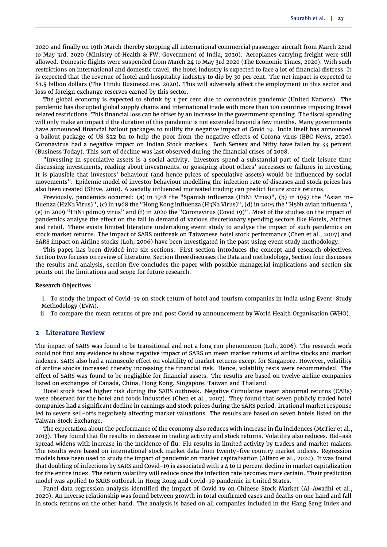2020 and finally on 19th March thereby stopping all international commercial passenger aircraft from March 22nd to May 3rd, 2020 [\(Ministry of Health & FW, Government of India,](#page-10-3) [2020\)](#page-10-3). Aeroplanes carrying freight were still allowed. Domestic flights were suspended from March 24 to May 3rd 2020 [\(The Economic Times,](#page-10-4) [2020\)](#page-10-4). With such restrictions on international and domestic travel, the hotel industry is expected to face a lot of financial distress. It is expected that the revenue of hotel and hospitality industry to dip by 30 per cent. The net impact is expected to \$1.5 billion dollars [\(The Hindu BusinessLine,](#page-10-5) [2020\)](#page-10-5). This will adversely affect the employment in this sector and loss of foreign exchange reserves earned by this sector.

The global economy is expected to shrink by 1 per cent due to coronavirus pandemic (United Nations). The pandemic has disrupted global supply chains and international trade with more than 100 countries imposing travel related restrictions. This financial loss can be offset by an increase in the government spending. The fiscal spending will only make an impact if the duration of this pandemic is not extended beyond a few months. Many governments have announced financial bailout packages to nullify the negative impact of Covid 19. India itself has announced a bailout package of US \$22 bn to help the poor from the negative effects of Corona virus [\(BBC News,](#page-9-0) [2020\)](#page-9-0). Coronavirus had a negative impact on Indian Stock markets. Both Sensex and Nifty have fallen by 33 percent (Business Today). This sort of decline was last observed during the financial crises of 2008.

"Investing in speculative assets is a social activity. Investors spend a substantial part of their leisure time discussing investments, reading about investments, or gossiping about others' successes or failures in investing. It is plausible that investors' behaviour (and hence prices of speculative assets) would be influenced by social movements". Epidemic model of investor behaviour modelling the infection rate of diseases and stock prices has also been created [\(Shive,](#page-10-6) [2010\)](#page-10-6). A socially influenced motivated trading can predict future stock returns.

Previously, pandemics occurred: (a) in 1918 the "Spanish influenza (H1N1 Virus)", (b) in 1957 the "Asian influenza (H2N2 Virus)", (c) in 1968 the "Hong Kong influenza (H3N2 Virus)", (d) in 2005 the "H5N1 avian influenza", (e) in 2009 "H1N1 pdm09 virus" and (f) in 2020 the "Coronavirus (Covid 19)". Most of the studies on the impact of pandemics analyse the effect on the fall in demand of various discretionary spending sectors like Hotels, Airlines and retail. There exists limited literature undertaking event study to analyse the impact of such pandemics on stock market returns. The impact of SARS outbreak on Taiwanese hotel stock performance [\(Chen et al.,](#page-10-7) [2007\)](#page-10-7) and SARS impact on Airline stocks [\(Loh,](#page-10-8) [2006\)](#page-10-8) have been investigated in the past using event study methodology.

This paper has been divided into six sections. First section introduces the concept and research objectives. Section two focuses on review of literature, Section three discusses the Data and methodology, Section four discusses the results and analysis, section five concludes the paper with possible managerial implications and section six points out the limitations and scope for future research.

#### **Research Objectives**

i. To study the impact of Covid-19 on stock return of hotel and tourism companies in India using Event-Study Methodology (EVM).

ii. To compare the mean returns of pre and post Covid 19 announcement by World Health Organisation (WHO).

# **2 Literature Review**

The impact of SARS was found to be transitional and not a long run phenomenon [\(Loh,](#page-10-8) [2006\)](#page-10-8). The research work could not find any evidence to show negative impact of SARS on mean market returns of airline stocks and market indexes. SARS also had a minuscule effect on volatility of market returns except for Singapore. However, volatility of airline stocks increased thereby increasing the financial risk. Hence, volatility tests were recommended. The effect of SARS was found to be negligible for financial assets. The results are based on twelve airline companies listed on exchanges of Canada, China, Hong Kong, Singapore, Taiwan and Thailand.

Hotel stock faced higher risk during the SARS outbreak. Negative Cumulative mean abnormal returns (CARs) were observed for the hotel and foods industries [\(Chen et al.,](#page-10-7) [2007\)](#page-10-7). They found that seven publicly traded hotel companies had a significant decline in earnings and stock prices during the SARS period. Irrational market response led to severe sell-offs negatively affecting market valuations. The results are based on seven hotels listed on the Taiwan Stock Exchange.

The expectation about the performance of the economy also reduces with increase in flu incidences [\(McTier et al.,](#page-10-9) [2013\)](#page-10-9). They found that flu results in decrease in trading activity and stock returns. Volatility also reduces. Bid-ask spread widens with increase in the incidence of flu. Flu results in limited activity by traders and market makers. The results were based on international stock market data from twenty-five country market indices. Regression models have been used to study the impact of pandemic on market capitalisation [\(Alfaro et al.,](#page-9-1) [2020\)](#page-9-1). It was found that doubling of infections by SARS and Covid-19 is associated with a 4 to 11 percent decline in market capitalization for the entire index. The return volatility will reduce once the infection rate becomes more certain. Their prediction model was applied to SARS outbreak in Hong Kong and Covid-19 pandemic in United States.

Panel data regression analysis identified the impact of Covid 19 on Chinese Stock Market [\(Al-Awadhi et al.,](#page-9-2) [2020\)](#page-9-2). An inverse relationship was found between growth in total confirmed cases and deaths on one hand and fall in stock returns on the other hand. The analysis is based on all companies included in the Hang Seng Index and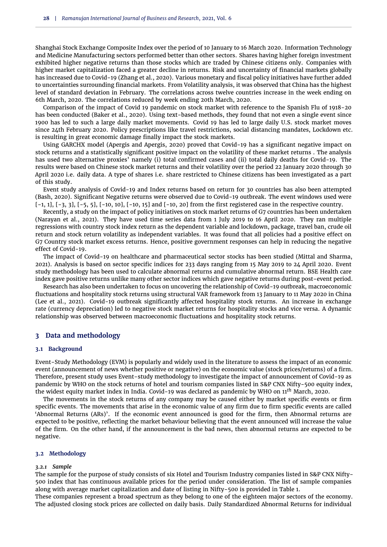Shanghai Stock Exchange Composite Index over the period of 10 January to 16 March 2020. Information Technology and Medicine Manufacturing sectors performed better than other sectors. Shares having higher foreign investment exhibited higher negative returns than those stocks which are traded by Chinese citizens only. Companies with higher market capitalization faced a greater decline in returns. Risk and uncertainty of financial markets globally has increased due to Covid-19 [\(Zhang et al.,](#page-10-10) [2020\)](#page-10-10). Various monetary and fiscal policy initiatives have further added to uncertainties surrounding financial markets. From Volatility analysis, it was observed that China has the highest level of standard deviation in February. The correlations across twelve countries increase in the week ending on 6th March, 2020. The correlations reduced by week ending 20th March, 2020.

Comparison of the impact of Covid 19 pandemic on stock market with reference to the Spanish Flu of 1918-20 has been conducted [\(Baker et al.,](#page-9-3) [2020\)](#page-9-3). Using text-based methods, they found that not even a single event since 1900 has led to such a large daily market movements. Covid 19 has led to large daily U.S. stock market moves since 24th February 2020. Policy prescriptions like travel restrictions, social distancing mandates, Lockdown etc. is resulting in great economic damage finally impact the stock markets.

Using GARCHX model [\(Apergis and Apergis,](#page-9-4) [2020\)](#page-9-4) proved that Covid-19 has a significant negative impact on stock returns and a statistically significant positive impact on the volatility of these market returns . The analysis has used two alternative proxies' namely (i) total confirmed cases and (ii) total daily deaths for Covid-19. The results were based on Chinese stock market returns and their volatility over the period 22 January 2020 through 30 April 2020 i.e. daily data. A type of shares i.e. share restricted to Chinese citizens has been investigated as a part of this study.

Event study analysis of Covid-19 and Index returns based on return for 30 countries has also been attempted [\(Bash,](#page-9-5) [2020\)](#page-9-5). Significant Negative returns were observed due to Covid-19 outbreak. The event windows used were  $[-1, 1]$ ,  $[-3, 3]$ ,  $[-5, 5]$ ,  $[-10, 10]$ ,  $[-10, 15]$  and  $[-10, 20]$  from the first registered case in the respective country.

Recently, a study on the impact of policy initiatives on stock market returns of G7 countries has been undertaken [\(Narayan et al.,](#page-10-11) [2021\)](#page-10-11). They have used time series data from 1 July 2019 to 16 April 2020. They ran multiple regressions with country stock index return as the dependent variable and lockdown, package, travel ban, crude oil return and stock return volatility as independent variables. It was found that all policies had a positive effect on G7 Country stock market excess returns. Hence, positive government responses can help in reducing the negative effect of Covid-19.

The impact of Covid-19 on healthcare and pharmaceutical sector stocks has been studied [\(Mittal and Sharma,](#page-10-12) [2021\)](#page-10-12). Analysis is based on sector specific indices for 233 days ranging from 15 May 2019 to 24 April 2020. Event study methodology has been used to calculate abnormal returns and cumulative abnormal return. BSE Health care index gave positive returns unlike many other sector indices which gave negative returns during post-event period.

Research has also been undertaken to focus on uncovering the relationship of Covid-19 outbreak, macroeconomic fluctuations and hospitality stock returns using structural VAR framework from 13 January to 11 May 2020 in China [\(Lee et al.,](#page-10-13) [2021\)](#page-10-13). Covid-19 outbreak significantly affected hospitality stock returns. An increase in exchange rate (currency depreciation) led to negative stock market returns for hospitality stocks and vice versa. A dynamic relationship was observed between macroeconomic fluctuations and hospitality stock returns.

## **3 Data and methodology**

## **3.1 Background**

Event-Study Methodology (EVM) is popularly and widely used in the literature to assess the impact of an economic event (announcement of news whether positive or negative) on the economic value (stock prices/returns) of a firm. Therefore, present study uses Event-study methodology to investigate the impact of announcement of Covid-19 as pandemic by WHO on the stock returns of hotel and tourism companies listed in S&P CNX Nifty-500 equity index, the widest equity market index in India. Covid-19 was declared as pandemic by WHO on 11*th* March, 2020.

The movements in the stock returns of any company may be caused either by market specific events or firm specific events. The movements that arise in the economic value of any firm due to firm specific events are called 'Abnormal Returns (ARs)'. If the economic event announced is good for the firm, then Abnormal returns are expected to be positive, reflecting the market behaviour believing that the event announced will increase the value of the firm. On the other hand, if the announcement is the bad news, then abnormal returns are expected to be negative.

## **3.2 Methodology**

#### *3.2.1 Sample*

The sample for the purpose of study consists of six Hotel and Tourism Industry companies listed in S&P CNX Nifty-500 index that has continuous available prices for the period under consideration. The list of sample companies along with average market capitalization and date of listing in Nifty-500 is provided in [Table 1.](#page-3-0)

These companies represent a broad spectrum as they belong to one of the eighteen major sectors of the economy. The adjusted closing stock prices are collected on daily basis. Daily Standardized Abnormal Returns for individual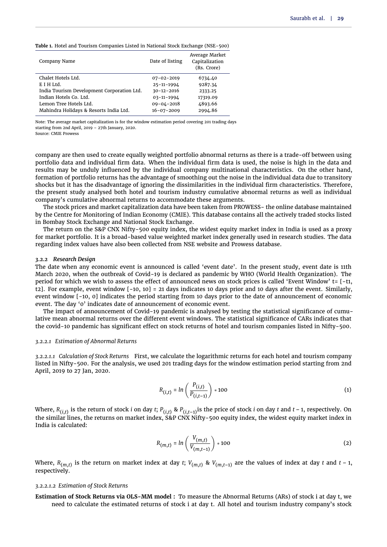<span id="page-3-0"></span>**Table 1.** Hotel and Tourism Companies Listed in National Stock Exchange (NSE-500)

| Company Name                               | Date of listing  | Average Market<br>Capitalization<br>(Rs. Crore) |
|--------------------------------------------|------------------|-------------------------------------------------|
| Chalet Hotels Ltd.                         | $07 - 02 - 2019$ | 6734.40                                         |
| E I H Ltd.                                 | $25 - 11 - 1994$ | 9287.34                                         |
| India Tourism Development Corporation Ltd. | $30 - 12 - 2016$ | 2333.25                                         |
| Indian Hotels Co. Ltd.                     | 03-11-1994       | 17319.09                                        |
| Lemon Tree Hotels Ltd.                     | $09 - 04 - 2018$ | 4893.66                                         |
| Mahindra Holidays & Resorts India Ltd.     | $16 - 07 - 2009$ | 2994.86                                         |

Note: The average market capitalization is for the window estimation period covering 201 trading days starting from 2nd April, 2019 – 27th January, 2020.

Source: CMIE Prowess

company are then used to create equally weighted portfolio abnormal returns as there is a trade-off between using portfolio data and individual firm data. When the individual firm data is used, the noise is high in the data and results may be unduly influenced by the individual company multinational characteristics. On the other hand, formation of portfolio returns has the advantage of smoothing out the noise in the individual data due to transitory shocks but it has the disadvantage of ignoring the dissimilarities in the individual firm characteristics. Therefore, the present study analysed both hotel and tourism industry cumulative abnormal returns as well as individual company's cumulative abnormal returns to accommodate these arguments.

The stock prices and market capitalization data have been taken from PROWESS- the online database maintained by the Centre for Monitoring of Indian Economy (CMIE). This database contains all the actively traded stocks listed in Bombay Stock Exchange and National Stock Exchange.

The return on the S&P CNX Nifty-500 equity index, the widest equity market index in India is used as a proxy for market portfolio. It is a broad-based value weighted market index generally used in research studies. The data regarding index values have also been collected from NSE website and Prowess database.

#### *3.2.2 Research Design*

The date when any economic event is announced is called 'event date'. In the present study, event date is 11th March 2020, when the outbreak of Covid-19 is declared as pandemic by WHO (World Health Organization). The period for which we wish to assess the effect of announced news on stock prices is called 'Event Window' t= [-t1, t2]. For example, event window [-10, 10] = 21 days indicates 10 days prior and 10 days after the event. Similarly, event window [-10, 0] indicates the period starting from 10 days prior to the date of announcement of economic event. The day '0' indicates date of announcement of economic event.

The impact of announcement of Covid-19 pandemic is analysed by testing the statistical significance of cumulative mean abnormal returns over the different event windows. The statistical significance of CARs indicates that the covid-10 pandemic has significant effect on stock returns of hotel and tourism companies listed in Nifty-500.

#### *3.2.2.1 Estimation of Abnormal Returns*

*3.2.2.1.1 Calculation of Stock Returns* First, we calculate the logarithmic returns for each hotel and tourism company listed in Nifty-500. For the analysis, we used 201 trading days for the window estimation period starting from 2nd April, 2019 to 27 Jan, 2020.

$$
R_{(i,t)} = \ln\left(\frac{P_{(i,t)}}{P_{(i,t-1)}}\right) * 100
$$
 (1)

Where, *R*(*i*,*t*) is the return of stock *i* on day *t*; *P*(*i*,*t*) & *P*(*i*,*t*–1)is the price of stock *i* on day *t* and *t* – 1, respectively. On the similar lines, the returns on market index, S&P CNX Nifty-500 equity index, the widest equity market index in India is calculated:

$$
R_{(m,t)} = \ln\left(\frac{V_{(m,t)}}{V_{(m,t-1)}}\right) * 100
$$
 (2)

Where, *R*(*m*,*t*) is the return on market index at day *t*; *V*(*m*,*t*) & *V*(*m*,*t*–1) are the values of index at day *t* and *t* – 1, respectively.

## *3.2.2.1.2 Estimation of Stock Returns*

**Estimation of Stock Returns via OLS-MM model :** To measure the Abnormal Returns (ARs) of stock i at day t, we need to calculate the estimated returns of stock i at day t. All hotel and tourism industry company's stock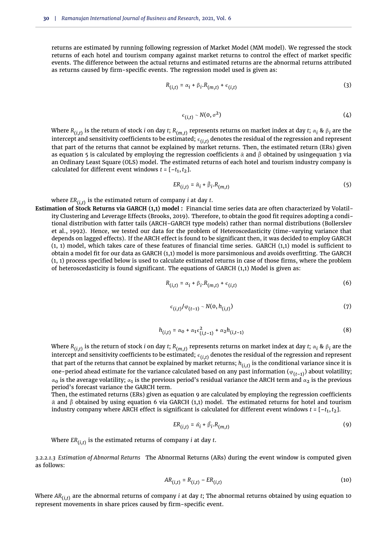returns are estimated by running following regression of Market Model (MM model). We regressed the stock returns of each hotel and tourism company against market returns to control the effect of market specific events. The difference between the actual returns and estimated returns are the abnormal returns attributed as returns caused by firm-specific events. The regression model used is given as:

<span id="page-4-1"></span>
$$
R_{(i,t)} = \alpha_i + \beta_i \cdot R_{(m,t)} + \epsilon_{(i,t)}
$$
\n
$$
\tag{3}
$$

$$
\epsilon_{(i,t)} \sim N(0, \sigma^2) \tag{4}
$$

Where  $R_{(i,t)}$  is the return of stock  $i$  on day  $t$ ;  $R_{(m,t)}$  represents returns on market index at day  $t$ ;  $\alpha_i$  &  $\beta_i$  are the intercept and sensitivity coefficients to be estimated;  $\epsilon_{(i,t)}$  denotes the residual of the regression and represent that part of the returns that cannot be explained by market returns. Then, the estimated return (ERs) given as [equation 5](#page-4-0) is calculated by employing the regression coefficients  $\hat{\alpha}$  and  $\hat{\beta}$  obtained by usin[gequation 3](#page-4-1) via an Ordinary Least Square (OLS) model. The estimated returns of each hotel and tourism industry company is calculated for different event windows  $t = [-t_1, t_2]$ .

<span id="page-4-0"></span>
$$
ER_{(i,t)} = \hat{\alpha}_i + \hat{\beta}_i.R_{(m,t)}
$$
 (5)

where *ER*(*i*,*t*) is the estimated return of company *i* at day *t*.

**Estimation of Stock Returns via GARCH (1,1) model :** Financial time series data are often characterized by Volatility Clustering and Leverage Effects [\(Brooks,](#page-9-6) [2019\)](#page-9-6). Therefore, to obtain the good fit requires adopting a conditional distribution with fatter tails (ARCH-GARCH type models) rather than normal distributions [\(Bollerslev](#page-9-7) [et al.,](#page-9-7) [1992\)](#page-9-7). Hence, we tested our data for the problem of Heteroscedasticity (time-varying variance that depends on lagged effects). If the ARCH effect is found to be significant then, it was decided to employ GARCH (1, 1) model, which takes care of these features of financial time series. GARCH (1,1) model is sufficient to obtain a model fit for our data as GARCH (1,1) model is more parsimonious and avoids overfitting. The GARCH (1, 1) process specified below is used to calculate estimated returns in case of those firms, where the problem of heteroscedasticity is found significant. The equations of GARCH (1,1) Model is given as:

<span id="page-4-3"></span>
$$
R_{(i,t)} = \alpha_i + \beta_i \cdot R_{(m,t)} + \epsilon_{(i,t)}
$$
 (6)

$$
\epsilon_{(i,t)} / \varphi_{(t-1)} \sim N(0, h_{(i,t)}) \tag{7}
$$

$$
h_{(i,t)} = \alpha_0 + \alpha_1 \epsilon_{(i,t-1)}^2 + \alpha_2 h_{(i,t-1)}
$$
\n(8)

Where  $R_{(i,t)}$  is the return of stock  $i$  on day  $t$ ;  $R_{(m,t)}$  represents returns on market index at day  $t$ ;  $\alpha_i$  &  $\beta_i$  are the intercept and sensitivity coefficients to be estimated;  $\epsilon_{(i,t)}$  denotes the residual of the regression and represent that part of the returns that cannot be explained by market returns; *h*(*i*,*t*) is the conditional variance since it is one-period ahead estimate for the variance calculated based on any past information ( $\varphi_{(t-1)}$ ) about volatility;  $\alpha_0$  is the average volatility;  $\alpha_1$  is the previous period's residual variance the ARCH term and  $\alpha_2$  is the previous period's forecast variance the GARCH term.

Then, the estimated returns (ERs) given as [equation 9](#page-4-2) are calculated by employing the regression coefficients  $\hat{\alpha}$  and  $\hat{\beta}$  obtained by using [equation 6](#page-4-3) via GARCH (1,1) model. The estimated returns for hotel and tourism industry company where ARCH effect is significant is calculated for different event windows  $t$  = [– $t_1, t_2$ ].

<span id="page-4-2"></span>
$$
ER_{(i,t)} = \hat{\alpha}_i + \hat{\beta}_i.R_{(m,t)}
$$
\n(9)

Where *ER*(*i*,*t*) is the estimated returns of company *i* at day *t*.

*3.2.2.1.3 Estimation of Abnormal Returns* The Abnormal Returns (ARs) during the event window is computed given as follows:

<span id="page-4-4"></span>
$$
AR_{(i,t)} = R_{(i,t)} - ER_{(i,t)}
$$
\n(10)

Where *AR*(*i*,*t*) are the abnormal returns of company *i* at day *t*; The abnormal returns obtained by using [equation 10](#page-4-4) represent movements in share prices caused by firm-specific event.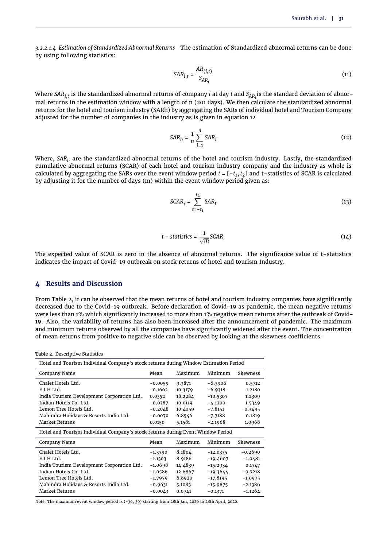*3.2.2.1.4 Estimation of Standardized Abnormal Returns* The estimation of Standardized abnormal returns can be done by using following statistics:

$$
SAR_{i,t} = \frac{AR_{(i,t)}}{S_{AR_i}}
$$
 (11)

Where *SARi*,*<sup>t</sup>* is the standardized abnormal returns of company *<sup>i</sup>* at day *<sup>t</sup>* and *<sup>S</sup>AR<sup>i</sup>* is the standard deviation of abnormal returns in the estimation window with a length of n (201 days). We then calculate the standardized abnormal returns for the hotel and tourism industry (SARh) by aggregating the SARs of individual hotel and Tourism Company adjusted for the number of companies in the industry as is given in [equation 12](#page-5-0)

<span id="page-5-0"></span>
$$
SAR_h = \frac{1}{n} \sum_{i=1}^{n} SAR_i
$$
 (12)

Where, *SAR<sup>h</sup>* are the standardized abnormal returns of the hotel and tourism industry. Lastly, the standardized cumulative abnormal returns (SCAR) of each hotel and tourism industry company and the industry as whole is calculated by aggregating the SARs over the event window period  $t$  =  $[-t_1,t_2]$  and t–statistics of SCAR is calculated by adjusting it for the number of days (m) within the event window period given as:

$$
SCAR_i = \sum_{t=-t_1}^{t_2} SAR_t
$$
 (13)

$$
t - statistics = \frac{1}{\sqrt{m}} SCAR_i
$$
 (14)

The expected value of SCAR is zero in the absence of abnormal returns. The significance value of t-statistics indicates the impact of Covid-19 outbreak on stock returns of hotel and tourism Industry.

# **4 Results and Discussion**

From [Table 2,](#page-5-1) it can be observed that the mean returns of hotel and tourism industry companies have significantly decreased due to the Covid-19 outbreak. Before declaration of Covid-19 as pandemic, the mean negative returns were less than 1% which significantly increased to more than 1% negative mean returns after the outbreak of Covid-19. Also, the variability of returns has also been increased after the announcement of pandemic. The maximum and minimum returns observed by all the companies have significantly widened after the event. The concentration of mean returns from positive to negative side can be observed by looking at the skewness coefficients.

<span id="page-5-1"></span>**Table 2.** Descriptive Statistics

| Hotel and Tourism Individual Company's stock returns during Window Estimation Period |           |         |            |                 |  |  |  |  |  |
|--------------------------------------------------------------------------------------|-----------|---------|------------|-----------------|--|--|--|--|--|
| Company Name                                                                         | Mean      | Maximum | Minimum    | <b>Skewness</b> |  |  |  |  |  |
| Chalet Hotels Ltd.                                                                   | $-0.0059$ | 9.3871  | $-6.3906$  | 0.5712          |  |  |  |  |  |
| E I H Ltd.                                                                           | $-0.1602$ | 10.3179 | $-6.9318$  | 1.2180          |  |  |  |  |  |
| India Tourism Development Corporation Ltd.                                           | 0.0352    | 18.2284 | $-10.5307$ | 1.2309          |  |  |  |  |  |
| Indian Hotels Co. Ltd.                                                               | $-0.0387$ | 10.0119 | $-4.1200$  | 1.5349          |  |  |  |  |  |
| Lemon Tree Hotels Ltd.                                                               | $-0.2048$ | 10.4059 | $-7.8151$  | 0.3495          |  |  |  |  |  |
| Mahindra Holidays & Resorts India Ltd.                                               | $-0.0070$ | 6.8546  | $-7.7188$  | 0.1819          |  |  |  |  |  |
| Market Returns                                                                       | 0.0150    | 5.1581  | $-2.1968$  | 1.0968          |  |  |  |  |  |
| Hotel and Tourism Individual Company's stock returns during Event Window Period      |           |         |            |                 |  |  |  |  |  |
| Company Name                                                                         | Mean      | Maximum | Minimum    | Skewness        |  |  |  |  |  |
| Chalet Hotels Ltd.                                                                   | $-1.3790$ | 8.1804  | $-12.0335$ | $-0.2690$       |  |  |  |  |  |
| E I H Ltd.                                                                           | $-1.1303$ | 8.9186  | $-19.4607$ | $-1.0481$       |  |  |  |  |  |
| India Tourism Development Corporation Ltd.                                           | -1.0698   | 14.4839 | $-15.2934$ | 0.1747          |  |  |  |  |  |
| Indian Hotels Co. Ltd.                                                               | $-1.0586$ | 12.6867 | $-19.3644$ | $-0.7218$       |  |  |  |  |  |
| Lemon Tree Hotels Ltd.                                                               | $-1.7979$ | 6.8920  | $-17.8195$ | $-1.0975$       |  |  |  |  |  |
| Mahindra Holidays & Resorts India Ltd.                                               | $-0.9631$ | 5.1083  | $-15.9875$ | $-2.1386$       |  |  |  |  |  |
| Market Returns                                                                       | $-0.0043$ | 0.0741  | $-0.1371$  | $-1.1264$       |  |  |  |  |  |

Note: The maximum event window period is (-30, 30) starting from 28th Jan, 2020 to 28th April, 2020.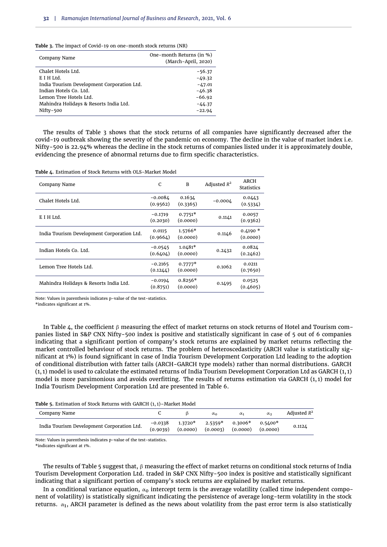<span id="page-6-0"></span>

|  |  |  |  | Table 3. The impact of Covid-19 on one-month stock returns (NR) |  |  |  |  |  |
|--|--|--|--|-----------------------------------------------------------------|--|--|--|--|--|
|--|--|--|--|-----------------------------------------------------------------|--|--|--|--|--|

| Company Name                               | One-month Returns (in %)<br>(March-April, 2020) |
|--------------------------------------------|-------------------------------------------------|
| Chalet Hotels Ltd.                         | $-56.37$                                        |
| E I H Ltd.                                 | $-49.32$                                        |
| India Tourism Development Corporation Ltd. | $-47.01$                                        |
| Indian Hotels Co. Ltd.                     | $-46.38$                                        |
| Lemon Tree Hotels Ltd.                     | $-66.92$                                        |
| Mahindra Holidays & Resorts India Ltd.     | $-44.37$                                        |
| Nifty-500                                  | $-22.94$                                        |

The results of [Table 3](#page-6-0) shows that the stock returns of all companies have significantly decreased after the covid-19 outbreak showing the severity of the pandemic on economy. The decline in the value of market index i.e. Nifty-500 is 22.94% whereas the decline in the stock returns of companies listed under it is approximately double, evidencing the presence of abnormal returns due to firm specific characteristics.

<span id="page-6-1"></span>**Table 4.** Estimation of Stock Returns with OLS-Market Model

| Company Name                               | C                     | B                     | Adjusted $R^2$ | ARCH<br><b>Statistics</b> |
|--------------------------------------------|-----------------------|-----------------------|----------------|---------------------------|
| Chalet Hotels Ltd.                         | $-0.0084$<br>(0.9562) | 0.1634<br>(0.3365)    | $-0.0004$      | 0.0443<br>(0.5334)        |
| E I H Ltd.                                 | $-0.1719$<br>(0.2030) | $0.7751*$<br>(0.0000) | 0.1141         | 0.0057<br>(0.9362)        |
| India Tourism Development Corporation Ltd. | 0.0115<br>(0.9664)    | $1.5766*$<br>(0.0000) | 0.1146         | $0.4190*$<br>(0.0000)     |
| Indian Hotels Co. Ltd.                     | $-0.0545$<br>(0.6404) | $1.0481*$<br>(0.0000) | 0.2432         | 0.0824<br>(0.2462)        |
| Lemon Tree Hotels Ltd.                     | $-0.2165$<br>(0.1244) | $0.7777*$<br>(0.0000) | 0.1062         | 0.0211<br>(0.7650)        |
| Mahindra Holidays & Resorts India Ltd.     | $-0.0194$<br>(0.8751) | $0.8256*$<br>(0.0000) | 0.1495         | 0.0525<br>(0.4605)        |

Note: Values in parenthesis indicates p-value of the test-statistics.

\*indicates significant at 1%.

In [Table 4,](#page-6-1) the coefficient  $\beta$  measuring the effect of market returns on stock returns of Hotel and Tourism companies listed in S&P CNX Nifty-500 index is positive and statistically significant in case of 5 out of 6 companies indicating that a significant portion of company's stock returns are explained by market returns reflecting the market controlled behaviour of stock returns. The problem of heteroscedasticity (ARCH value is statistically significant at 1%) is found significant in case of India Tourism Development Corporation Ltd leading to the adoption of conditional distribution with fatter tails (ARCH-GARCH type models) rather than normal distributions. GARCH (1, 1) model is used to calculate the estimated returns of India Tourism Development Corporation Ltd as GARCH (1, 1) model is more parsimonious and avoids overfitting. The results of returns estimation via GARCH (1, 1) model for India Tourism Development Corporation Ltd are presented in [Table 6.](#page-7-0)

<span id="page-6-2"></span>**Table 5.** Estimation of Stock Returns with GARCH (1, 1)–Market Model

| Company Name                               |                                                                              | $\alpha_0$ | $\alpha_1$        | $\alpha_{2}$ | Adjusted $R^2$ |
|--------------------------------------------|------------------------------------------------------------------------------|------------|-------------------|--------------|----------------|
| India Tourism Development Corporation Ltd. | $-0.0338$ $1.3720*$ $2.5359*$<br>$(0.9039)$ $(0.0000)$ $(0.0003)$ $(0.0000)$ |            | $0.3006*$ 0.5400* | (0.0000)     | 0.1124         |

Note: Values in parenthesis indicates p-value of the test-statistics.

\*indicates significant at 1%.

The results of [Table 5](#page-6-2) suggest that,  $\beta$  measuring the effect of market returns on conditional stock returns of India Tourism Development Corporation Ltd. traded in S&P CNX Nifty-500 index is positive and statistically significant indicating that a significant portion of company's stock returns are explained by market returns.

In a conditional variance equation,  $\alpha_0$  intercept term is the average volatility (called time independent component of volatility) is statistically significant indicating the persistence of average long-term volatility in the stock returns.  $\alpha_1$ , ARCH parameter is defined as the news about volatility from the past error term is also statistically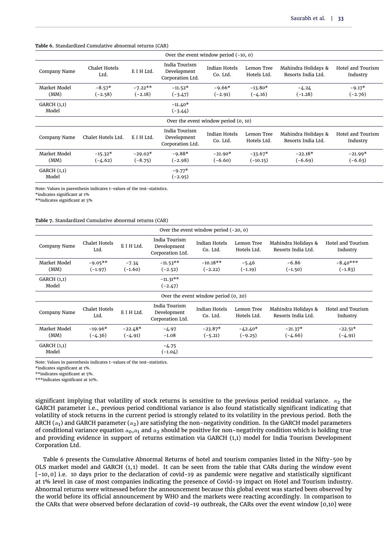#### <span id="page-7-0"></span>**Table 6.** Standardized Cumulative abnormal returns (CAR)

| Over the event window period $(-10, 0)$ |                              |                        |                                                  |                                        |                           |                                           |                               |  |  |
|-----------------------------------------|------------------------------|------------------------|--------------------------------------------------|----------------------------------------|---------------------------|-------------------------------------------|-------------------------------|--|--|
| Company Name                            | <b>Chalet Hotels</b><br>Ltd. | E I H Ltd.             | India Tourism<br>Development<br>Corporation Ltd. | <b>Indian Hotels</b><br>Co. Ltd.       | Lemon Tree<br>Hotels Ltd. | Mahindra Holidays &<br>Resorts India Ltd. | Hotel and Tourism<br>Industry |  |  |
| Market Model<br>(MM)                    | $-8.57*$<br>$(-2.58)$        | $-7.22**$<br>$(-2.18)$ | $-11.52*$<br>$(-3.47)$                           | $-9.66*$<br>$(-2.91)$                  | $-13.80*$<br>$(-4.16)$    | $-4.24$<br>$(-1.28)$                      | $-9.17*$<br>$(-2.76)$         |  |  |
| GARCH $(1,1)$<br>Model                  |                              |                        | $-11.40*$<br>$(-3.44)$                           |                                        |                           |                                           |                               |  |  |
|                                         |                              |                        |                                                  | Over the event window period $(0, 10)$ |                           |                                           |                               |  |  |
| Company Name                            | Chalet Hotels Ltd.           | E I H Ltd.             | India Tourism<br>Development<br>Corporation Ltd. | <b>Indian Hotels</b><br>Co. Ltd.       | Lemon Tree<br>Hotels Ltd. | Mahindra Holidays &<br>Resorts India Ltd. | Hotel and Tourism<br>Industry |  |  |
| Market Model<br>(MM)                    | $-15.32*$<br>$(-4.62)$       | $-29.02*$<br>$(-8.75)$ | $-9.88*$<br>$(-2.98)$                            | $-21.90*$<br>$(-6.60)$                 | $-33.67*$<br>$(-10.15)$   | $-22.18*$<br>$(-6.69)$                    | $-21.99*$<br>$(-6.63)$        |  |  |
| GARCH $(1,1)$<br>Model                  |                              |                        | $-9.77*$<br>$(-2.95)$                            |                                        |                           |                                           |                               |  |  |

Note: Values in parenthesis indicates t-values of the test-statistics.

\*indicates significant at 1%

\*\*indicates significant at 5%

#### <span id="page-7-1"></span>**Table 7.** Standardized Cumulative abnormal returns (CAR)

| Over the event window period $(-20, 0)$ |                        |                        |                                                  |                                      |                           |                                           |                               |  |  |
|-----------------------------------------|------------------------|------------------------|--------------------------------------------------|--------------------------------------|---------------------------|-------------------------------------------|-------------------------------|--|--|
| Company Name                            | Chalet Hotels<br>Ltd.  | E I H Ltd.             | India Tourism<br>Development<br>Corporation Ltd. | <b>Indian Hotels</b><br>Co. Ltd.     | Lemon Tree<br>Hotels Ltd. | Mahindra Holidays &<br>Resorts India Ltd. | Hotel and Tourism<br>Industry |  |  |
| Market Model<br>(MM)                    | $-9.05**$<br>$(-1.97)$ | $-7.34$<br>$(-1.60)$   | $-11.53**$<br>$(-2.52)$                          | $-10.18**$<br>$(-2.22)$              | $-5.46$<br>$(-1.19)$      | $-6.86$<br>$(-1.50)$                      | $-8.40***$<br>$(-1.83)$       |  |  |
| GARCH(1,1)<br>Model                     |                        |                        | $-11.31**$<br>$(-2.47)$                          |                                      |                           |                                           |                               |  |  |
|                                         |                        |                        |                                                  | Over the event window period (0, 20) |                           |                                           |                               |  |  |
| Company Name                            | Chalet Hotels<br>Ltd.  | E I H Ltd.             | India Tourism<br>Development<br>Corporation Ltd. | <b>Indian Hotels</b><br>Co. Ltd.     | Lemon Tree<br>Hotels Ltd. | Mahindra Holidays &<br>Resorts India Ltd. | Hotel and Tourism<br>Industry |  |  |
| Market Model<br>(MM)                    | $-19.96*$<br>$(-4.36)$ | $-22.48*$<br>$(-4.91)$ | $-4.97$<br>$-1.08$                               | $-23.87*$<br>$(-5.21)$               | $-42.40*$<br>$(-9.25)$    | $-21.37*$<br>$(-4.66)$                    | $-22.51*$<br>$(-4.91)$        |  |  |
| GARCH $(1,1)$<br>Model                  |                        |                        | $-4.75$<br>$(-1.04)$                             |                                      |                           |                                           |                               |  |  |

Note: Values in parenthesis indicates t-values of the test-statistics.

\*indicates significant at 1%.

\*\*indicates significant at 5%.

\*\*\*indicates significant at 10%.

significant implying that volatility of stock returns is sensitive to the previous period residual variance.  $\alpha_2$  the GARCH parameter i.e., previous period conditional variance is also found statistically significant indicating that volatility of stock returns in the current period is strongly related to its volatility in the previous period. Both the ARCH ( $\alpha_1$ ) and GARCH parameter ( $\alpha_2$ ) are satisfying the non-negativity condition. In the GARCH model parameters of conditional variance equation  $\alpha_0$ , $\alpha_1$  and  $\alpha_2$  should be positive for non-negativity condition which is holding true and providing evidence in support of returns estimation via GARCH (1,1) model for India Tourism Development Corporation Ltd.

[Table 6](#page-7-0) presents the Cumulative Abnormal Returns of hotel and tourism companies listed in the Nifty-500 by OLS market model and GARCH (1, 1) model. It can be seen from the table that CARs during the window event [-10, 0] i.e. 10 days prior to the declaration of covid-19 as pandemic were negative and statistically significant at 1% level in case of most companies indicating the presence of Covid-19 impact on Hotel and Tourism industry. Abnormal returns were witnessed before the announcement because this global event was started been observed by the world before its official announcement by WHO and the markets were reacting accordingly. In comparison to the CARs that were observed before declaration of covid-19 outbreak, the CARs over the event window [0,10] were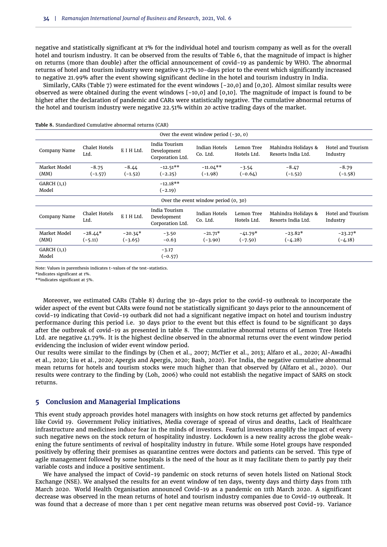negative and statistically significant at 1% for the individual hotel and tourism company as well as for the overall hotel and tourism industry. It can be observed from the results of [Table 6,](#page-7-0) that the magnitude of impact is higher on returns (more than double) after the official announcement of covid-19 as pandemic by WHO. The abnormal returns of hotel and tourism industry were negative 9.17% 10-days prior to the event which significantly increased to negative 21.99% after the event showing significant decline in the hotel and tourism industry in India.

Similarly, CARs [\(Table 7\)](#page-7-1) were estimated for the event windows [-20,0] and [0,20]. Almost similar results were observed as were obtained during the event windows [-10,0] and [0,10]. The magnitude of impact is found to be higher after the declaration of pandemic and CARs were statistically negative. The cumulative abnormal returns of the hotel and tourism industry were negative 22.51% within 20 active trading days of the market.

|                        | Over the event window period $(-30, 0)$ |                        |                                                  |                                      |                           |                                           |                               |  |  |  |  |
|------------------------|-----------------------------------------|------------------------|--------------------------------------------------|--------------------------------------|---------------------------|-------------------------------------------|-------------------------------|--|--|--|--|
| Company Name           | Chalet Hotels<br>Ltd.                   | E I H Ltd.             | India Tourism<br>Development<br>Corporation Ltd. | <b>Indian Hotels</b><br>Co. Ltd.     | Lemon Tree<br>Hotels Ltd. | Mahindra Holidays &<br>Resorts India Ltd. | Hotel and Tourism<br>Industry |  |  |  |  |
| Market Model<br>(MM)   | $-8.75$<br>$(-1.57)$                    | $-8.44$<br>$(-1.52)$   | $-12.51**$<br>$(-2.25)$                          | $-11.04**$<br>$(-1.98)$              | $-3.54$<br>$(-0.64)$      | $-8.47$<br>$(-1.52)$                      | $-8.79$<br>$(-1.58)$          |  |  |  |  |
| GARCH $(1,1)$<br>Model |                                         |                        | $-12.18**$<br>$(-2.19)$                          |                                      |                           |                                           |                               |  |  |  |  |
|                        |                                         |                        |                                                  | Over the event window period (0, 30) |                           |                                           |                               |  |  |  |  |
| Company Name           | <b>Chalet Hotels</b><br>Ltd.            | E I H Ltd.             | India Tourism<br>Development<br>Corporation Ltd. | <b>Indian Hotels</b><br>Co. Ltd.     | Lemon Tree<br>Hotels Ltd. | Mahindra Holidays &<br>Resorts India Ltd. | Hotel and Tourism<br>Industry |  |  |  |  |
| Market Model<br>(MM)   | $-28.44*$<br>$(-5.11)$                  | $-20.34*$<br>$(-3.65)$ | $-3.50$<br>$-0.63$                               | $-21.71*$<br>$(-3.90)$               | $-41.79*$<br>$(-7.50)$    | $-23.82*$<br>$(-4.28)$                    | $-23.27*$<br>$(-4.18)$        |  |  |  |  |
| GARCH $(1,1)$<br>Model |                                         |                        | $-3.17$<br>$(-0.57)$                             |                                      |                           |                                           |                               |  |  |  |  |

<span id="page-8-0"></span>**Table 8.** Standardized Cumulative abnormal returns (CAR)

Note: Values in parenthesis indicates t-values of the test-statistics.

\*indicates significant at 1%.

\*\*indicates significant at 5%.

Moreover, we estimated CARs [\(Table 8\)](#page-8-0) during the 30-days prior to the covid-19 outbreak to incorporate the wider aspect of the event but CARs were found not be statistically significant 30 days prior to the announcement of covid-19 indicating that Covid-19 outbark did not had a significant negative impact on hotel and tourism industry performance during this period i.e. 30 days prior to the event but this effect is found to be significant 30 days after the outbreak of covid-19 as presented in table 8. The cumulative abnormal returns of Lemon Tree Hotels Ltd. are negative 41.79%. It is the highest decline observed in the abnormal returns over the event window period evidencing the inclusion of wider event window period.

Our results were similar to the findings by [\(Chen et al.,](#page-10-7) [2007;](#page-10-7) [McTier et al.,](#page-10-9) [2013;](#page-10-9) [Alfaro et al.,](#page-9-1) [2020;](#page-9-1) [Al-Awadhi](#page-9-2) [et al.,](#page-9-2) [2020;](#page-9-2) [Liu et al.,](#page-10-14) [2020;](#page-10-14) [Apergis and Apergis,](#page-9-4) [2020;](#page-9-4) [Bash,](#page-9-5) [2020\)](#page-9-5). For India, the negative cumulative abnormal mean returns for hotels and tourism stocks were much higher than that observed by [\(Alfaro et al.,](#page-9-1) [2020\)](#page-9-1). Our results were contrary to the finding by [\(Loh,](#page-10-8) [2006\)](#page-10-8) who could not establish the negative impact of SARS on stock returns.

# **5 Conclusion and Managerial Implications**

This event study approach provides hotel managers with insights on how stock returns get affected by pandemics like Covid 19. Government Policy initiatives, Media coverage of spread of virus and deaths, Lack of Healthcare infrastructure and medicines induce fear in the minds of investors. Fearful investors amplify the impact of every such negative news on the stock return of hospitality industry. Lockdown is a new reality across the globe weakening the future sentiments of revival of hospitality industry in future. While some Hotel groups have responded positively by offering their premises as quarantine centres were doctors and patients can be served. This type of agile management followed by some hospitals is the need of the hour as it may facilitate them to partly pay their variable costs and induce a positive sentiment.

We have analysed the impact of Covid-19 pandemic on stock returns of seven hotels listed on National Stock Exchange (NSE). We analysed the results for an event window of ten days, twenty days and thirty days from 11th March 2020. World Health Organisation announced Covid-19 as a pandemic on 11th March 2020. A significant decrease was observed in the mean returns of hotel and tourism industry companies due to Covid-19 outbreak. It was found that a decrease of more than 1 per cent negative mean returns was observed post Covid-19. Variance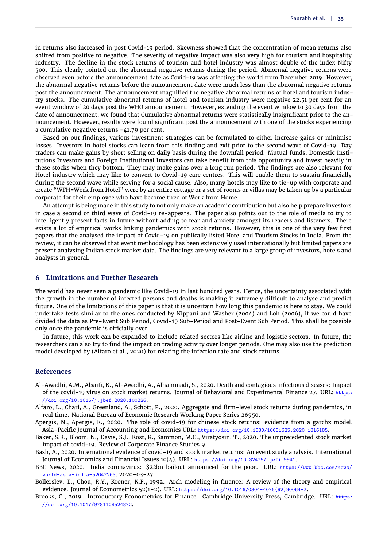in returns also increased in post Covid-19 period. Skewness showed that the concentration of mean returns also shifted from positive to negative. The severity of negative impact was also very high for tourism and hospitality industry. The decline in the stock returns of tourism and hotel industry was almost double of the index Nifty 500. This clearly pointed out the abnormal negative returns during the period. Abnormal negative returns were observed even before the announcement date as Covid-19 was affecting the world from December 2019. However, the abnormal negative returns before the announcement date were much less than the abnormal negative returns post the announcement. The announcement magnified the negative abnormal returns of hotel and tourism industry stocks. The cumulative abnormal returns of hotel and tourism industry were negative 22.51 per cent for an event window of 20 days post the WHO announcement. However, extending the event window to 30 days from the date of announcement, we found that Cumulative abnormal returns were statistically insignificant prior to the announcement. However, results were found significant post the announcement with one of the stocks experiencing a cumulative negative returns -41.79 per cent.

Based on our findings, various investment strategies can be formulated to either increase gains or minimise losses. Investors in hotel stocks can learn from this finding and exit prior to the second wave of Covid-19. Day traders can make gains by short selling on daily basis during the downfall period. Mutual funds, Domestic Institutions Investors and Foreign Institutional Investors can take benefit from this opportunity and invest heavily in these stocks when they bottom. They may make gains over a long run period. The findings are also relevant for Hotel industry which may like to convert to Covid-19 care centres. This will enable them to sustain financially during the second wave while serving for a social cause. Also, many hotels may like to tie-up with corporate and create "WFH=Work from Hotel" were by an entire cottage or a set of rooms or villas may be taken up by a particular corporate for their employee who have become tired of Work from Home.

An attempt is being made in this study to not only make an academic contribution but also help prepare investors in case a second or third wave of Covid-19 re-appears. The paper also points out to the role of media to try to intelligently present facts in future without adding to fear and anxiety amongst its readers and listeners. There exists a lot of empirical works linking pandemics with stock returns. However, this is one of the very few first papers that the analysed the impact of Covid-19 on publically listed Hotel and Tourism Stocks in India. From the review, it can be observed that event methodology has been extensively used internationally but limited papers are present analysing Indian stock market data. The findings are very relevant to a large group of investors, hotels and analysts in general.

## **6 Limitations and Further Research**

The world has never seen a pandemic like Covid-19 in last hundred years. Hence, the uncertainty associated with the growth in the number of infected persons and deaths is making it extremely difficult to analyse and predict future. One of the limitations of this paper is that it is uncertain how long this pandemic is here to stay. We could undertake tests similar to the ones conducted by [Nippani and Washer](#page-10-15) [\(2004\)](#page-10-15) and [Loh](#page-10-8) [\(2006\)](#page-10-8), if we could have divided the data as Pre-Event Sub Period, Covid-19 Sub-Period and Post-Event Sub Period. This shall be possible only once the pandemic is officially over.

In future, this work can be expanded to include related sectors like airline and logistic sectors. In future, the researchers can also try to find the impact on trading activity over longer periods. One may also use the prediction model developed by [\(Alfaro et al.,](#page-9-1) [2020\)](#page-9-1) for relating the infection rate and stock returns.

#### **References**

- <span id="page-9-2"></span>Al-Awadhi, A.M., Alsaifi, K., Al-Awadhi, A., Alhammadi, S., 2020. Death and contagious infectious diseases: Impact of the covid-19 virus on stock market returns. Journal of Behavioral and Experimental Finance 27. URL: https: //doi.org/10.1016/j.jbef.2020.100326.
- <span id="page-9-1"></span>Alfaro, L., Chari, A., Greenland, A., Schott, P., 2020. Aggregate and firm-level stock returns during pandemics, in real time. National Bureau of Economic Research Working Paper Series 26950.
- <span id="page-9-4"></span>Apergis, N., Apergis, E., 2020. The role of covid-19 for chinese stock returns: evidence from a garchx model. Asia-Pacific Journal of Accounting and Economics URL: https://doi.org/10.1080/16081625.2020.1816185.
- <span id="page-9-3"></span>Baker, S.R., Bloom, N., Davis, S.J., Kost, K., Sammon, M.C., Viratyosin, T., 2020. The unprecedented stock market impact of covid-19. Review of Corporate Finance Studies 9.
- <span id="page-9-5"></span>Bash, A., 2020. International evidence of covid-19 and stock market returns: An event study analysis. International Journal of Economics and Financial Issues 10(4). URL: https://doi.org/10.32479/ijefi.9941.
- <span id="page-9-0"></span>BBC News, 2020. India coronavirus: \$22bn bailout announced for the poor. URL: https://www.bbc.com/news/ world-asia-india-52047263. 2020-03-27.
- <span id="page-9-7"></span>Bollerslev, T., Chou, R.Y., Kroner, K.F., 1992. Arch modeling in finance: A review of the theory and empirical evidence. Journal of Econometrics 52(1–2). URL: https://doi.org/10.1016/0304-4076(92)90064-X.
- <span id="page-9-6"></span>Brooks, C., 2019. Introductory Econometrics for Finance. Cambridge University Press, Cambridge. URL: https: //doi.org/10.1017/9781108524872.